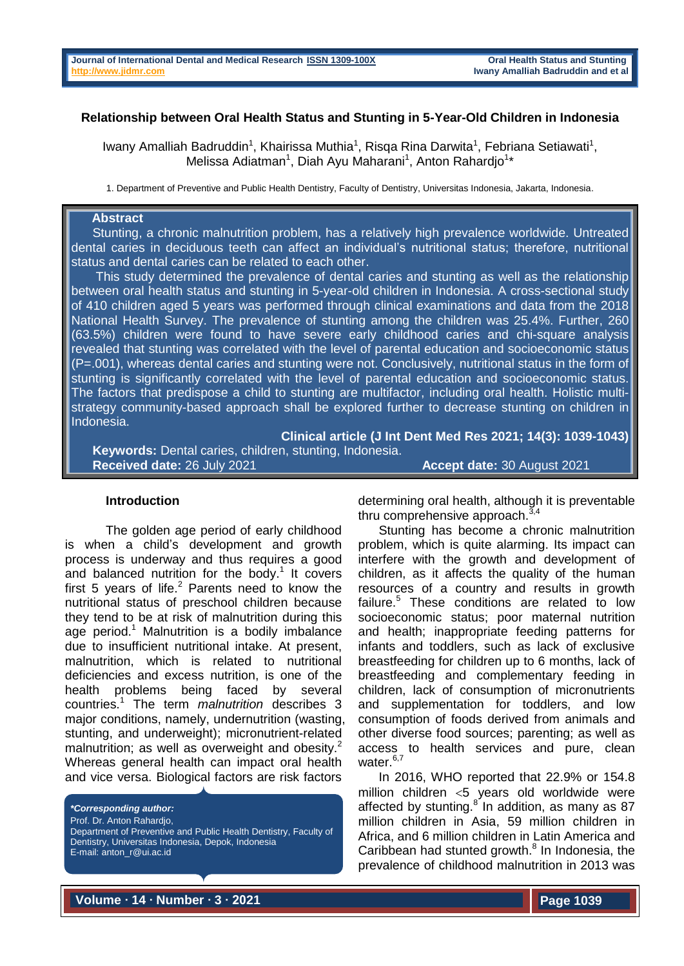#### **Relationship between Oral Health Status and Stunting in 5-Year-Old Children in Indonesia**

Iwany Amalliah Badruddin<sup>1</sup>, Khairissa Muthia<sup>1</sup>, Risqa Rina Darwita<sup>1</sup>, Febriana Setiawati<sup>1</sup>, Melissa Adiatman<sup>1</sup>, Diah Ayu Maharani<sup>1</sup>, Anton Rahardjo<sup>1\*</sup>

1. Department of Preventive and Public Health Dentistry, Faculty of Dentistry, Universitas Indonesia, Jakarta, Indonesia.

### **Abstract**

 Stunting, a chronic malnutrition problem, has a relatively high prevalence worldwide. Untreated dental caries in deciduous teeth can affect an individual's nutritional status; therefore, nutritional status and dental caries can be related to each other.

 This study determined the prevalence of dental caries and stunting as well as the relationship between oral health status and stunting in 5-year-old children in Indonesia. A cross-sectional study of 410 children aged 5 years was performed through clinical examinations and data from the 2018 National Health Survey. The prevalence of stunting among the children was 25.4%. Further, 260 (63.5%) children were found to have severe early childhood caries and chi-square analysis revealed that stunting was correlated with the level of parental education and socioeconomic status (P=.001), whereas dental caries and stunting were not. Conclusively, nutritional status in the form of stunting is significantly correlated with the level of parental education and socioeconomic status. The factors that predispose a child to stunting are multifactor, including oral health. Holistic multistrategy community-based approach shall be explored further to decrease stunting on children in Indonesia.

**Clinical article (J Int Dent Med Res 2021; 14(3): 1039-1043) Keywords:** Dental caries, children, stunting, Indonesia. **Received date:** 26 July 2021 **Accept date:** 30 August 2021

#### **Introduction**

The golden age period of early childhood is when a child's development and growth process is underway and thus requires a good and balanced nutrition for the body.<sup>1</sup> It covers first 5 years of life. $2$  Parents need to know the nutritional status of preschool children because they tend to be at risk of malnutrition during this age period. <sup>1</sup> Malnutrition is a bodily imbalance due to insufficient nutritional intake. At present, malnutrition, which is related to nutritional deficiencies and excess nutrition, is one of the health problems being faced by several countries. <sup>1</sup> The term *malnutrition* describes 3 major conditions, namely, undernutrition (wasting, stunting, and underweight); micronutrient-related malnutrition; as well as overweight and obesity.<sup>2</sup> Whereas general health can impact oral health and vice versa. Biological factors are risk factors

*\*Corresponding author:*

Prof. Dr. Anton Rahardjo,

Department of Preventive and Public Health Dentistry, Faculty of Dentistry, Universitas Indonesia, Depok, Indonesia E-mail: anton\_r@ui.ac.id

determining oral health, although it is preventable thru comprehensive approach.<sup>3</sup>

Stunting has become a chronic malnutrition problem, which is quite alarming. Its impact can interfere with the growth and development of children, as it affects the quality of the human resources of a country and results in growth failure.<sup>5</sup> These conditions are related to low socioeconomic status; poor maternal nutrition and health; inappropriate feeding patterns for infants and toddlers, such as lack of exclusive breastfeeding for children up to 6 months, lack of breastfeeding and complementary feeding in children, lack of consumption of micronutrients and supplementation for toddlers, and low consumption of foods derived from animals and other diverse food sources; parenting; as well as access to health services and pure, clean water. $6,7$ 

In 2016, WHO reported that 22.9% or 154.8 million children  $<$ 5 years old worldwide were affected by stunting.<sup>8</sup> In addition, as many as 87 million children in Asia, 59 million children in Africa, and 6 million children in Latin America and Caribbean had stunted growth. 8 In Indonesia, the prevalence of childhood malnutrition in 2013 was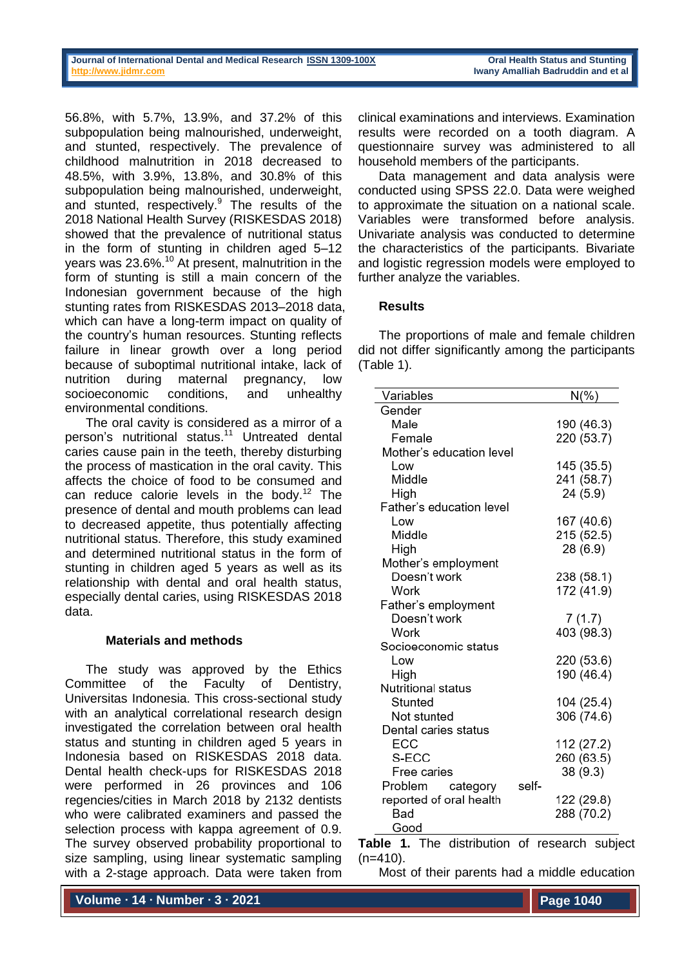56.8%, with 5.7%, 13.9%, and 37.2% of this subpopulation being malnourished, underweight, and stunted, respectively. The prevalence of childhood malnutrition in 2018 decreased to 48.5%, with 3.9%, 13.8%, and 30.8% of this subpopulation being malnourished, underweight, and stunted, respectively. <sup>9</sup> The results of the 2018 National Health Survey (RISKESDAS 2018) showed that the prevalence of nutritional status in the form of stunting in children aged 5–12 years was 23.6%.<sup>10</sup> At present, malnutrition in the form of stunting is still a main concern of the Indonesian government because of the high stunting rates from RISKESDAS 2013–2018 data, which can have a long-term impact on quality of the country's human resources. Stunting reflects failure in linear growth over a long period because of suboptimal nutritional intake, lack of nutrition during maternal pregnancy, low socioeconomic conditions, and unhealthy environmental conditions.

The oral cavity is considered as a mirror of a person's nutritional status.<sup>11</sup> Untreated dental caries cause pain in the teeth, thereby disturbing the process of mastication in the oral cavity. This affects the choice of food to be consumed and can reduce calorie levels in the body.<sup>12</sup> The presence of dental and mouth problems can lead to decreased appetite, thus potentially affecting nutritional status. Therefore, this study examined and determined nutritional status in the form of stunting in children aged 5 years as well as its relationship with dental and oral health status, especially dental caries, using RISKESDAS 2018 data.

### **Materials and methods**

The study was approved by the Ethics Committee of the Faculty of Dentistry, Universitas Indonesia. This cross-sectional study with an analytical correlational research design investigated the correlation between oral health status and stunting in children aged 5 years in Indonesia based on RISKESDAS 2018 data. Dental health check-ups for RISKESDAS 2018 were performed in 26 provinces and 106 regencies/cities in March 2018 by 2132 dentists who were calibrated examiners and passed the selection process with kappa agreement of 0.9. The survey observed probability proportional to size sampling, using linear systematic sampling with a 2-stage approach. Data were taken from

**Volume ∙ 14 ∙ Number ∙ 3 ∙ 2021**

clinical examinations and interviews. Examination results were recorded on a tooth diagram. A questionnaire survey was administered to all household members of the participants.

Data management and data analysis were conducted using SPSS 22.0. Data were weighed to approximate the situation on a national scale. Variables were transformed before analysis. Univariate analysis was conducted to determine the characteristics of the participants. Bivariate and logistic regression models were employed to further analyze the variables.

### **Results**

The proportions of male and female children did not differ significantly among the participants (Table 1).

| Variables                    | N(%)       |
|------------------------------|------------|
| Gender                       |            |
| Male                         | 190 (46.3) |
| Female                       | 220 (53.7) |
| Mother's education level     |            |
| Low                          | 145 (35.5) |
| Middle                       | 241 (58.7) |
| High                         | 24 (5.9)   |
| Father's education level     |            |
| Low                          | 167 (40.6) |
| Middle                       | 215 (52.5) |
| High                         | 28 (6.9)   |
| Mother's employment          |            |
| Doesn't work                 | 238 (58.1) |
| Work                         | 172 (41.9) |
| Father's employment          |            |
| Doesn't work                 | 7(1.7)     |
| Work                         | 403 (98.3) |
| Socioeconomic status         |            |
| Low                          | 220 (53.6) |
| High                         | 190 (46.4) |
| Nutritional status           |            |
| Stunted                      | 104 (25.4) |
| Not stunted                  | 306 (74.6) |
| Dental caries status         |            |
| ECC                          | 112 (27.2) |
| S-ECC                        | 260 (63.5) |
| Free caries                  | 38 (9.3)   |
| Problem<br>self-<br>category |            |
| reported of oral health      | 122 (29.8) |
| Bad                          | 288 (70.2) |
| Good                         |            |

**Table 1.** The distribution of research subject  $(n=410)$ .

Most of their parents had a middle education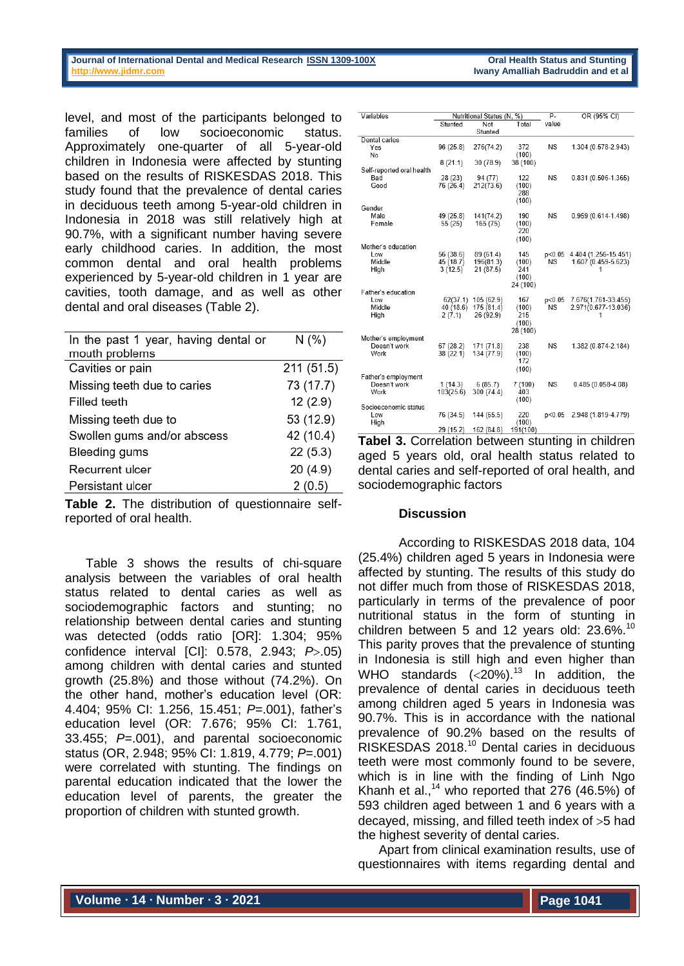#### **Journal of International Dental and Medical Research ISSN 1309-100X Cannon Call Health Status and Stunting http://www.jidmr.com Iwany Amalliah Badruddin and et al**

level, and most of the participants belonged to families of low socioeconomic status. Approximately one-quarter of all 5-year-old children in Indonesia were affected by stunting based on the results of RISKESDAS 2018. This study found that the prevalence of dental caries in deciduous teeth among 5-year-old children in Indonesia in 2018 was still relatively high at 90.7%, with a significant number having severe early childhood caries. In addition, the most common dental and oral health problems experienced by 5-year-old children in 1 year are cavities, tooth damage, and as well as other dental and oral diseases (Table 2).

| In the past 1 year, having dental or | N(% )      |
|--------------------------------------|------------|
| mouth problems                       |            |
| Cavities or pain                     | 211 (51.5) |
| Missing teeth due to caries          | 73 (17.7)  |
| Filled teeth                         | 12(2.9)    |
| Missing teeth due to                 | 53 (12.9)  |
| Swollen gums and/or abscess          | 42 (10.4)  |
| Bleeding gums                        | 22(5.3)    |
| Recurrent ulcer                      | 20(4.9)    |
| Persistant ulcer                     | 2(0.5)     |
|                                      |            |

**Table 2.** The distribution of questionnaire selfreported of oral health.

Table 3 shows the results of chi-square analysis between the variables of oral health status related to dental caries as well as sociodemographic factors and stunting; no relationship between dental caries and stunting was detected (odds ratio [OR]: 1.304; 95% confidence interval [CI]: 0.578, 2.943; *P*.05) among children with dental caries and stunted growth (25.8%) and those without (74.2%). On the other hand, mother's education level (OR: 4.404; 95% CI: 1.256, 15.451; *P*=.001), father's education level (OR: 7.676; 95% CI: 1.761, 33.455; *P*=.001), and parental socioeconomic status (OR, 2.948; 95% CI: 1.819, 4.779; *P*=.001) were correlated with stunting. The findings on parental education indicated that the lower the education level of parents, the greater the proportion of children with stunted growth.

| Variables                 | Nutritional Status (N, %) |            | $P -$        | OR (95% CI) |                        |
|---------------------------|---------------------------|------------|--------------|-------------|------------------------|
|                           | Stunted                   | Not        | Total        | value       |                        |
|                           |                           | Stunted    |              |             |                        |
| Dental caries             |                           |            |              |             |                        |
| Yes                       | 96 (25.8)                 | 276(74.2)  | 372          | <b>NS</b>   | 1.304 (0.578-2.943)    |
| No                        |                           |            | (100)        |             |                        |
|                           | 8(21.1)                   | 30 (78.9)  | 38 (100)     |             |                        |
| Self-reported oral health |                           |            |              |             |                        |
| Bad                       | 28 (23)                   | 94 (77)    | 122          | <b>NS</b>   | $0.831(0.506 - 1.365)$ |
| Good                      | 76 (26.4)                 | 212(73.6)  | (100)<br>288 |             |                        |
|                           |                           |            | (100)        |             |                        |
| Gender                    |                           |            |              |             |                        |
| Male                      | 49 (25.8)                 | 141(74.2)  | 190          | <b>NS</b>   | $0.959(0.614 - 1.498)$ |
| Female                    | 55 (25)                   | 165 (75)   | (100)        |             |                        |
|                           |                           |            | 220          |             |                        |
|                           |                           |            | (100)        |             |                        |
| Mother's education        |                           |            |              |             |                        |
| Low                       | 56 (38.6)                 | 89 (61.4)  | 145          | p<0.05      | 4.404 (1.256-15.451)   |
| Middle                    | 45 (18.7)                 | 196(81.3)  | (100)        | <b>NS</b>   | 1.607 (0.459-5.623)    |
| High                      | 3(12.5)                   | 21 (87.5)  | 241          |             | 1                      |
|                           |                           |            | (100)        |             |                        |
| Father's education        |                           |            | 24 (100)     |             |                        |
| Low                       | 62(37.1)                  | 105 (62.9) | 167          | p<0.05      | 7.676(1.761-33.455)    |
| Middle                    | 40 (18.6)                 | 175 (81.4) | (100)        | <b>NS</b>   | 2.971(0.677-13.036)    |
| High                      | 2(7.1)                    | 26 (92.9)  | 215          |             | 1                      |
|                           |                           |            | (100)        |             |                        |
|                           |                           |            | 28 (100)     |             |                        |
| Mother's employment       |                           |            |              |             |                        |
| Doesn't work              | 67 (28.2)                 | 171 (71.8) | 238          | <b>NS</b>   | 1.382 (0.874-2.184)    |
| Work                      | 38 (22.1)                 | 134 (77.9) | (100)        |             |                        |
|                           |                           |            | 172          |             |                        |
|                           |                           |            | (100)        |             |                        |
| Father's employment       |                           |            |              |             |                        |
| Doesn't work              | 1(14.3)                   | 6(85.7)    | 7(100)       | <b>NS</b>   | $0.485(0.058 - 4.08)$  |
| Work                      | 103(25.6)                 | 300 (74.4) | 403          |             |                        |
|                           |                           |            | (100)        |             |                        |
| Socioeconomic status      |                           |            |              |             |                        |
| Low                       | 76 (34.5)                 | 144 (65.5) | 220          | p<0.05      | 2.948 (1.819-4.779)    |
| High                      |                           |            | (100)        |             |                        |
|                           | 29 (15.2)                 | 162 (84.8) | 191(100)     |             |                        |

**Tabel 3.** Correlation between stunting in children aged 5 years old, oral health status related to dental caries and self-reported of oral health, and sociodemographic factors

#### **Discussion**

According to RISKESDAS 2018 data, 104 (25.4%) children aged 5 years in Indonesia were affected by stunting. The results of this study do not differ much from those of RISKESDAS 2018, particularly in terms of the prevalence of poor nutritional status in the form of stunting in children between 5 and 12 years old: 23.6%.<sup>10</sup> This parity proves that the prevalence of stunting in Indonesia is still high and even higher than WHO standards  $( $20\%$ )$ .<sup>13</sup> In addition, the prevalence of dental caries in deciduous teeth among children aged 5 years in Indonesia was 90.7%. This is in accordance with the national prevalence of 90.2% based on the results of RISKESDAS 2018. <sup>10</sup> Dental caries in deciduous teeth were most commonly found to be severe, which is in line with the finding of Linh Ngo Khanh et al., $14$  who reported that 276 (46.5%) of 593 children aged between 1 and 6 years with a decayed, missing, and filled teeth index of  $>5$  had the highest severity of dental caries.

Apart from clinical examination results, use of questionnaires with items regarding dental and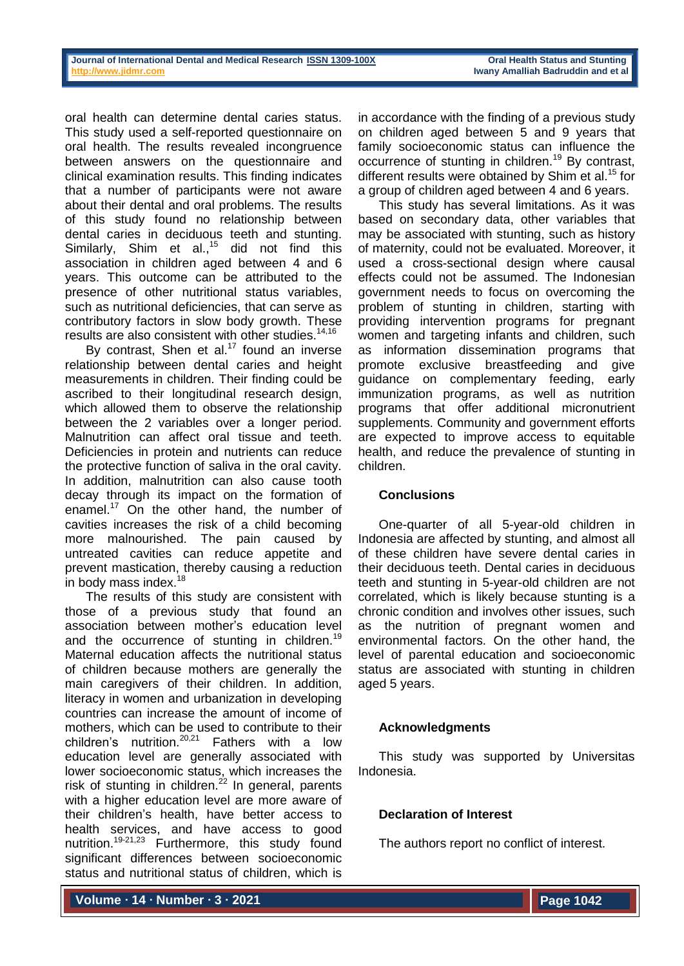oral health can determine dental caries status. This study used a self-reported questionnaire on oral health. The results revealed incongruence between answers on the questionnaire and clinical examination results. This finding indicates that a number of participants were not aware about their dental and oral problems. The results of this study found no relationship between dental caries in deciduous teeth and stunting. Similarly, Shim et al.,<sup>15</sup> did not find this association in children aged between 4 and 6 years. This outcome can be attributed to the presence of other nutritional status variables, such as nutritional deficiencies, that can serve as contributory factors in slow body growth. These results are also consistent with other studies.<sup>14,16</sup>

By contrast, Shen et al.<sup>17</sup> found an inverse relationship between dental caries and height measurements in children. Their finding could be ascribed to their longitudinal research design, which allowed them to observe the relationship between the 2 variables over a longer period. Malnutrition can affect oral tissue and teeth. Deficiencies in protein and nutrients can reduce the protective function of saliva in the oral cavity. In addition, malnutrition can also cause tooth decay through its impact on the formation of enamel.<sup>17</sup> On the other hand, the number of cavities increases the risk of a child becoming more malnourished. The pain caused by untreated cavities can reduce appetite and prevent mastication, thereby causing a reduction in body mass index.<sup>18</sup>

The results of this study are consistent with those of a previous study that found an association between mother's education level and the occurrence of stunting in children.<sup>19</sup> Maternal education affects the nutritional status of children because mothers are generally the main caregivers of their children. In addition, literacy in women and urbanization in developing countries can increase the amount of income of mothers, which can be used to contribute to their children's nutrition.<sup>20,21</sup> Fathers with a low education level are generally associated with lower socioeconomic status, which increases the risk of stunting in children. $^{22}$  In general, parents with a higher education level are more aware of their children's health, have better access to health services, and have access to good nutrition.<sup>19-21,23</sup> Furthermore, this study found significant differences between socioeconomic status and nutritional status of children, which is

in accordance with the finding of a previous study on children aged between 5 and 9 years that family socioeconomic status can influence the occurrence of stunting in children.<sup>19</sup> By contrast, different results were obtained by Shim et al. <sup>15</sup> for a group of children aged between 4 and 6 years.

This study has several limitations. As it was based on secondary data, other variables that may be associated with stunting, such as history of maternity, could not be evaluated. Moreover, it used a cross-sectional design where causal effects could not be assumed. The Indonesian government needs to focus on overcoming the problem of stunting in children, starting with providing intervention programs for pregnant women and targeting infants and children, such as information dissemination programs that promote exclusive breastfeeding and give guidance on complementary feeding, early immunization programs, as well as nutrition programs that offer additional micronutrient supplements. Community and government efforts are expected to improve access to equitable health, and reduce the prevalence of stunting in children.

# **Conclusions**

One-quarter of all 5-year-old children in Indonesia are affected by stunting, and almost all of these children have severe dental caries in their deciduous teeth. Dental caries in deciduous teeth and stunting in 5-year-old children are not correlated, which is likely because stunting is a chronic condition and involves other issues, such as the nutrition of pregnant women and environmental factors. On the other hand, the level of parental education and socioeconomic status are associated with stunting in children aged 5 years.

# **Acknowledgments**

This study was supported by Universitas Indonesia.

# **Declaration of Interest**

The authors report no conflict of interest.

**Volume ∙ 14 ∙ Number ∙ 3 ∙ 2021**